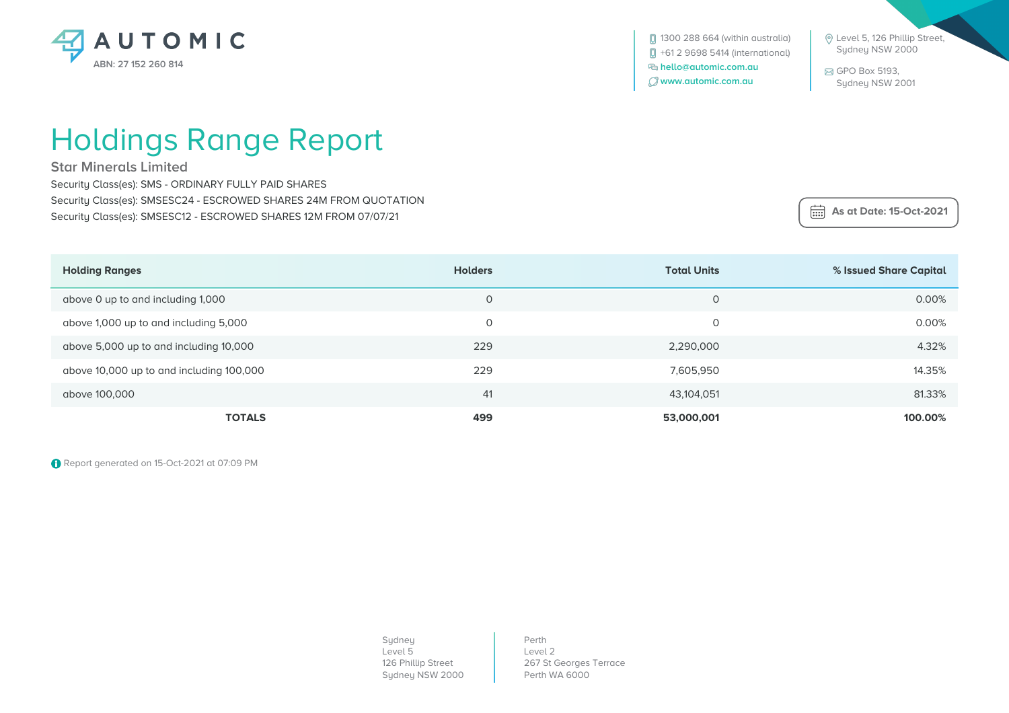

 Level 5, 126 Phillip Street, Sydney NSW 2000

 GPO Box 5193, Sydney NSW 2001

## Holdings Range Report

**Star Minerals Limited**

Security Class(es): SMS - ORDINARY FULLY PAID SHARES Security Class(es): SMSESC24 - ESCROWED SHARES 24M FROM QUOTATION Security Class(es): SMSESC12 - ESCROWED SHARES 12M FROM 07/07/21

 **As at Date: 15-Oct-2021**

| <b>Holding Ranges</b>                    | <b>Holders</b> | <b>Total Units</b> | % Issued Share Capital |
|------------------------------------------|----------------|--------------------|------------------------|
| above 0 up to and including 1,000        | 0              | $\Omega$           | 0.00%                  |
| above 1,000 up to and including 5,000    | 0              |                    | 0.00%                  |
| above 5,000 up to and including 10,000   | 229            | 2,290,000          | 4.32%                  |
| above 10,000 up to and including 100,000 | 229            | 7,605,950          | 14.35%                 |
| above 100,000                            | 41             | 43,104,051         | 81.33%                 |
| <b>TOTALS</b>                            | 499            | 53,000,001         | 100.00%                |

Report generated on 15-Oct-2021 at 07:09 PM

Sydney Level 5 126 Phillip Street Sydney NSW 2000

Perth Level 2 267 St Georges Terrace Perth WA 6000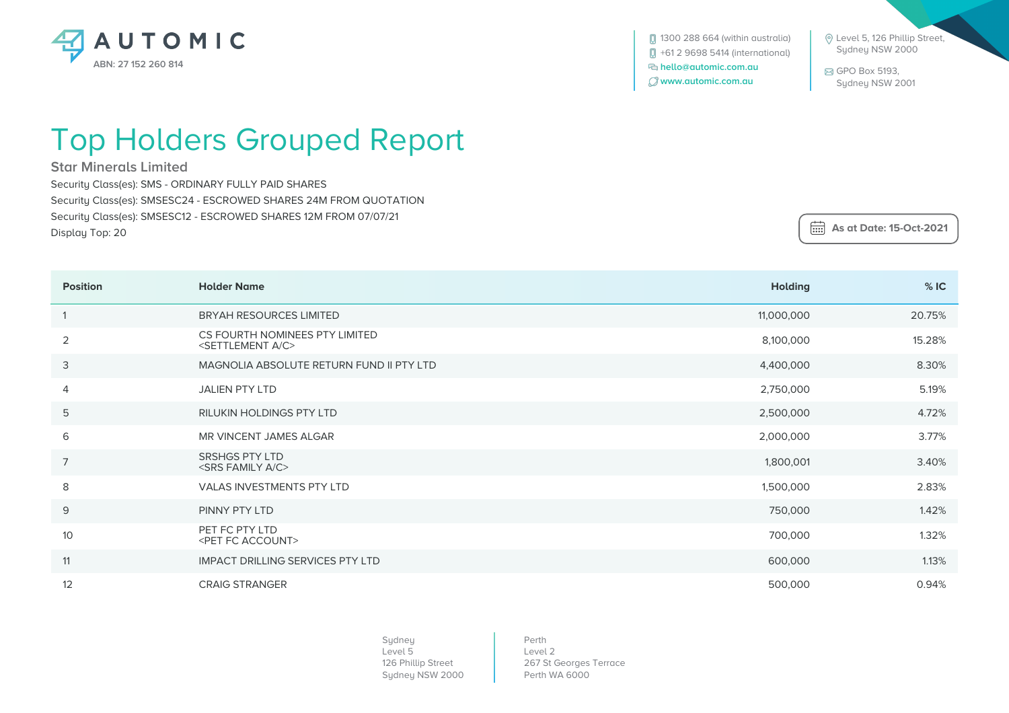

**[**] 1300 288 664 (within australia) +61 2 9698 5414 (international)  **hello@automic.com.au www.automic.com.au**

 Level 5, 126 Phillip Street, Sydney NSW 2000

 GPO Box 5193, Sydney NSW 2001

## Top Holders Grouped Report

**Star Minerals Limited**

Security Class(es): SMS - ORDINARY FULLY PAID SHARES Security Class(es): SMSESC24 - ESCROWED SHARES 24M FROM QUOTATION Security Class(es): SMSESC12 - ESCROWED SHARES 12M FROM 07/07/21 Display Top: 20

 **As at Date: 15-Oct-2021**

| <b>Position</b> | <b>Holder Name</b>                                                    | <b>Holding</b> | %IC    |
|-----------------|-----------------------------------------------------------------------|----------------|--------|
|                 | <b>BRYAH RESOURCES LIMITED</b>                                        | 11,000,000     | 20.75% |
| 2               | CS FOURTH NOMINEES PTY LIMITED<br><settlement a="" c=""></settlement> | 8,100,000      | 15.28% |
| 3               | MAGNOLIA ABSOLUTE RETURN FUND II PTY LTD                              | 4,400,000      | 8.30%  |
| 4               | <b>JALIEN PTY LTD</b>                                                 | 2,750,000      | 5.19%  |
| 5               | <b>RILUKIN HOLDINGS PTY LTD</b>                                       | 2,500,000      | 4.72%  |
| 6               | MR VINCENT JAMES ALGAR                                                | 2,000,000      | 3.77%  |
| $\overline{7}$  | SRSHGS PTY LTD<br><srs a="" c="" family=""></srs>                     | 1,800,001      | 3.40%  |
| 8               | VALAS INVESTMENTS PTY LTD                                             | 1,500,000      | 2.83%  |
| $9$             | PINNY PTY LTD                                                         | 750,000        | 1.42%  |
| 10              | PET FC PTY LTD<br><pet account="" fc=""></pet>                        | 700,000        | 1.32%  |
| 11              | <b>IMPACT DRILLING SERVICES PTY LTD</b>                               | 600,000        | 1.13%  |
| 12              | <b>CRAIG STRANGER</b>                                                 | 500,000        | 0.94%  |

Sydney Level 5 126 Phillip Street Sydney NSW 2000

Perth Level 2 267 St Georges Terrace Perth WA 6000